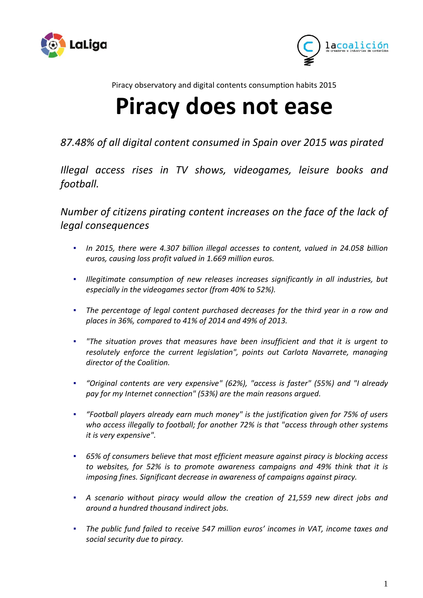



Piracy observatory and digital contents consumption habits 2015

# **Piracy does not ease**

*87.48% of all digital content consumed in Spain over 2015 was pirated*

*Illegal access rises in TV shows, videogames, leisure books and football.* 

*Number of citizens pirating content increases on the face of the lack of legal consequences*

- *In 2015, there were 4.307 billion illegal accesses to content, valued in 24.058 billion euros, causing loss profit valued in 1.669 million euros.*
- *▪ Illegitimate consumption of new releases increases significantly in all industries, but especially in the videogames sector (from 40% to 52%).*
- *▪ The percentage of legal content purchased decreases for the third year in a row and places in 36%, compared to 41% of 2014 and 49% of 2013.*
- *▪ "The situation proves that measures have been insufficient and that it is urgent to resolutely enforce the current legislation", points out Carlota Navarrete, managing director of the Coalition.*
- *▪ "Original contents are very expensive" (62%), "access is faster" (55%) and "I already pay for my Internet connection" (53%) are the main reasons argued.*
- *▪ "Football players already earn much money" is the justification given for 75% of users who access illegally to football; for another 72% is that "access through other systems it is very expensive".*
- *▪ 65% of consumers believe that most efficient measure against piracy is blocking access to websites, for 52% is to promote awareness campaigns and 49% think that it is imposing fines. Significant decrease in awareness of campaigns against piracy.*
- *▪ A scenario without piracy would allow the creation of 21,559 new direct jobs and around a hundred thousand indirect jobs.*
- *▪ The public fund failed to receive 547 million euros' incomes in VAT, income taxes and social security due to piracy.*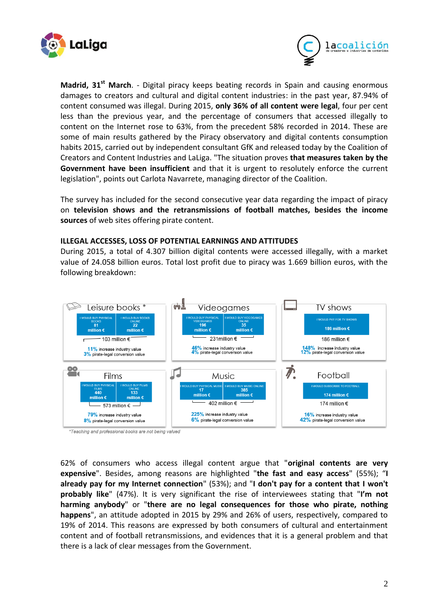



**Madrid, 31st March**. - Digital piracy keeps beating records in Spain and causing enormous damages to creators and cultural and digital content industries: in the past year, 87.94% of content consumed was illegal. During 2015, **only 36% of all content were legal**, four per cent less than the previous year, and the percentage of consumers that accessed illegally to content on the Internet rose to 63%, from the precedent 58% recorded in 2014. These are some of main results gathered by the Piracy observatory and digital contents consumption habits 2015, carried out by independent consultant GfK and released today by the Coalition of Creators and Content Industries and LaLiga. "The situation proves **that measures taken by the Government have been insufficient** and that it is urgent to resolutely enforce the current legislation", points out Carlota Navarrete, managing director of the Coalition.

The survey has included for the second consecutive year data regarding the impact of piracy on **television shows and the retransmissions of football matches, besides the income sources** of web sites offering pirate content.

## **ILLEGAL ACCESSES, LOSS OF POTENTIAL EARNINGS AND ATTITUDES**

During 2015, a total of 4.307 billion digital contents were accessed illegally, with a market value of 24.058 billion euros. Total lost profit due to piracy was 1.669 billion euros, with the following breakdown:



\*Teaching and professional books are not being valued

62% of consumers who access illegal content argue that "**original contents are very expensive**". Besides, among reasons are highlighted "**the fast and easy access**" (55%); "**I already pay for my Internet connection**" (53%); and "**I don't pay for a content that I won't probably like**" (47%). It is very significant the rise of interviewees stating that "**I'm not harming anybody**" or "**there are no legal consequences for those who pirate, nothing happens**", an attitude adopted in 2015 by 29% and 26% of users, respectively, compared to 19% of 2014. This reasons are expressed by both consumers of cultural and entertainment content and of football retransmissions, and evidences that it is a general problem and that there is a lack of clear messages from the Government.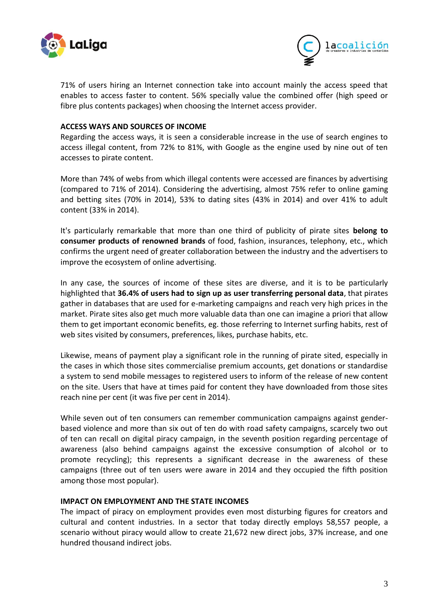



71% of users hiring an Internet connection take into account mainly the access speed that enables to access faster to content. 56% specially value the combined offer (high speed or fibre plus contents packages) when choosing the Internet access provider.

## **ACCESS WAYS AND SOURCES OF INCOME**

Regarding the access ways, it is seen a considerable increase in the use of search engines to access illegal content, from 72% to 81%, with Google as the engine used by nine out of ten accesses to pirate content.

More than 74% of webs from which illegal contents were accessed are finances by advertising (compared to 71% of 2014). Considering the advertising, almost 75% refer to online gaming and betting sites (70% in 2014), 53% to dating sites (43% in 2014) and over 41% to adult content (33% in 2014).

It's particularly remarkable that more than one third of publicity of pirate sites **belong to consumer products of renowned brands** of food, fashion, insurances, telephony, etc., which confirms the urgent need of greater collaboration between the industry and the advertisers to improve the ecosystem of online advertising.

In any case, the sources of income of these sites are diverse, and it is to be particularly highlighted that **36.4% of users had to sign up as user transferring personal data**, that pirates gather in databases that are used for e-marketing campaigns and reach very high prices in the market. Pirate sites also get much more valuable data than one can imagine a priori that allow them to get important economic benefits, eg. those referring to Internet surfing habits, rest of web sites visited by consumers, preferences, likes, purchase habits, etc.

Likewise, means of payment play a significant role in the running of pirate sited, especially in the cases in which those sites commercialise premium accounts, get donations or standardise a system to send mobile messages to registered users to inform of the release of new content on the site. Users that have at times paid for content they have downloaded from those sites reach nine per cent (it was five per cent in 2014).

While seven out of ten consumers can remember communication campaigns against genderbased violence and more than six out of ten do with road safety campaigns, scarcely two out of ten can recall on digital piracy campaign, in the seventh position regarding percentage of awareness (also behind campaigns against the excessive consumption of alcohol or to promote recycling); this represents a significant decrease in the awareness of these campaigns (three out of ten users were aware in 2014 and they occupied the fifth position among those most popular).

## **IMPACT ON EMPLOYMENT AND THE STATE INCOMES**

The impact of piracy on employment provides even most disturbing figures for creators and cultural and content industries. In a sector that today directly employs 58,557 people, a scenario without piracy would allow to create 21,672 new direct jobs, 37% increase, and one hundred thousand indirect jobs.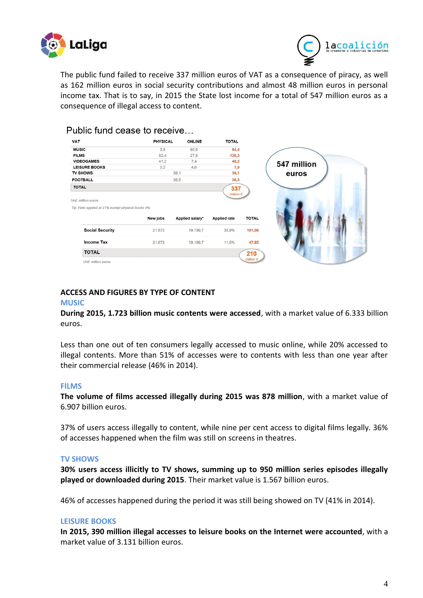



The public fund failed to receive 337 million euros of VAT as a consequence of piracy, as well as 162 million euros in social security contributions and almost 48 million euros in personal income tax. That is to say, in 2015 the State lost income for a total of 547 million euros as a consequence of illegal access to content.

| <b>VAT</b>      |                                                                          | <b>PHYSICAL</b> | <b>ONLINE</b>   | <b>TOTAL</b>        |                    |
|-----------------|--------------------------------------------------------------------------|-----------------|-----------------|---------------------|--------------------|
| <b>MUSIC</b>    |                                                                          | 3,6             | 80,9            | 84,4                |                    |
| <b>FILMS</b>    |                                                                          | 92,4            | 27,9            | 120,3               |                    |
|                 | <b>VIDEOGAMES</b>                                                        | 41,2            | 7,4             | 48,5                |                    |
|                 | <b>LEISURE BOOKS</b>                                                     | 3,2             | 4,6             | 7,9                 |                    |
| <b>TV SHOWS</b> |                                                                          | 39,1            |                 | 39,1                |                    |
| <b>FOOTBALL</b> |                                                                          |                 | 36,5            | 36,5                |                    |
| <b>TOTAL</b>    |                                                                          |                 |                 | 337                 |                    |
|                 | Unit: million euros<br>Tip: Rate applied at 21% except physical books 4% |                 |                 | million $\epsilon$  |                    |
|                 |                                                                          | New jobs        | Applied salary* | <b>Applied rate</b> | <b>TOTAL</b>       |
|                 | <b>Social Security</b>                                                   | 21.672          | 19.199,7        | 38,9%               | 161,86             |
|                 | Income Tax                                                               | 21.672          | 19.199,7        | 11,5%               | 47,85              |
|                 | <b>TOTAL</b>                                                             |                 |                 |                     | 210                |
|                 | Unit: million euros                                                      |                 |                 |                     | million $\epsilon$ |

## Public fund cease to receive

#### **ACCESS AND FIGURES BY TYPE OF CONTENT**

#### **MUSIC**

**During 2015, 1.723 billion music contents were accessed**, with a market value of 6.333 billion euros.

Less than one out of ten consumers legally accessed to music online, while 20% accessed to illegal contents. More than 51% of accesses were to contents with less than one year after their commercial release (46% in 2014).

#### **FILMS**

**The volume of films accessed illegally during 2015 was 878 million**, with a market value of 6.907 billion euros.

37% of users access illegally to content, while nine per cent access to digital films legally. 36% of accesses happened when the film was still on screens in theatres.

#### **TV SHOWS**

**30% users access illicitly to TV shows, summing up to 950 million series episodes illegally played or downloaded during 2015**. Their market value is 1.567 billion euros.

46% of accesses happened during the period it was still being showed on TV (41% in 2014).

#### **LEISURE BOOKS**

**In 2015, 390 million illegal accesses to leisure books on the Internet were accounted**, with a market value of 3.131 billion euros.